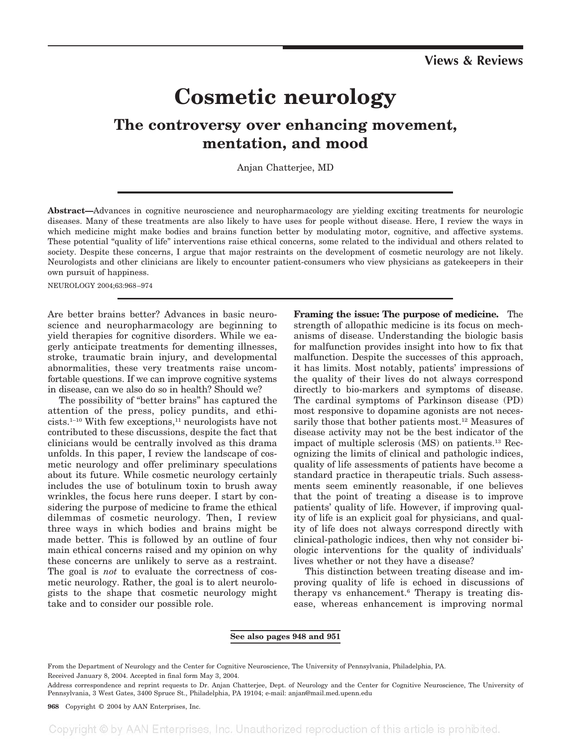**Views & Reviews**

# **Cosmetic neurology**

**The controversy over enhancing movement, mentation, and mood**

Anjan Chatterjee, MD

**Abstract—**Advances in cognitive neuroscience and neuropharmacology are yielding exciting treatments for neurologic diseases. Many of these treatments are also likely to have uses for people without disease. Here, I review the ways in which medicine might make bodies and brains function better by modulating motor, cognitive, and affective systems. These potential "quality of life" interventions raise ethical concerns, some related to the individual and others related to society. Despite these concerns, I argue that major restraints on the development of cosmetic neurology are not likely. Neurologists and other clinicians are likely to encounter patient-consumers who view physicians as gatekeepers in their own pursuit of happiness.

NEUROLOGY 2004;63:968–974

Are better brains better? Advances in basic neuroscience and neuropharmacology are beginning to yield therapies for cognitive disorders. While we eagerly anticipate treatments for dementing illnesses, stroke, traumatic brain injury, and developmental abnormalities, these very treatments raise uncomfortable questions. If we can improve cognitive systems in disease, can we also do so in health? Should we?

The possibility of "better brains" has captured the attention of the press, policy pundits, and ethicists.1–10 With few exceptions,11 neurologists have not contributed to these discussions, despite the fact that clinicians would be centrally involved as this drama unfolds. In this paper, I review the landscape of cosmetic neurology and offer preliminary speculations about its future. While cosmetic neurology certainly includes the use of botulinum toxin to brush away wrinkles, the focus here runs deeper. I start by considering the purpose of medicine to frame the ethical dilemmas of cosmetic neurology. Then, I review three ways in which bodies and brains might be made better. This is followed by an outline of four main ethical concerns raised and my opinion on why these concerns are unlikely to serve as a restraint. The goal is *not* to evaluate the correctness of cosmetic neurology. Rather, the goal is to alert neurologists to the shape that cosmetic neurology might take and to consider our possible role.

**Framing the issue: The purpose of medicine.** The strength of allopathic medicine is its focus on mechanisms of disease. Understanding the biologic basis for malfunction provides insight into how to fix that malfunction. Despite the successes of this approach, it has limits. Most notably, patients' impressions of the quality of their lives do not always correspond directly to bio-markers and symptoms of disease. The cardinal symptoms of Parkinson disease (PD) most responsive to dopamine agonists are not necessarily those that bother patients most.<sup>12</sup> Measures of disease activity may not be the best indicator of the impact of multiple sclerosis  $(MS)$  on patients.<sup>13</sup> Recognizing the limits of clinical and pathologic indices, quality of life assessments of patients have become a standard practice in therapeutic trials. Such assessments seem eminently reasonable, if one believes that the point of treating a disease is to improve patients' quality of life. However, if improving quality of life is an explicit goal for physicians, and quality of life does not always correspond directly with clinical-pathologic indices, then why not consider biologic interventions for the quality of individuals' lives whether or not they have a disease?

This distinction between treating disease and improving quality of life is echoed in discussions of therapy vs enhancement.6 Therapy is treating disease, whereas enhancement is improving normal

### **See also pages 948 and 951**

From the Department of Neurology and the Center for Cognitive Neuroscience, The University of Pennsylvania, Philadelphia, PA. Received January 8, 2004. Accepted in final form May 3, 2004.

Address correspondence and reprint requests to Dr. Anjan Chatterjee, Dept. of Neurology and the Center for Cognitive Neuroscience, The University of Pennsylvania, 3 West Gates, 3400 Spruce St., Philadelphia, PA 19104; e-mail: anjan@mail.med.upenn.edu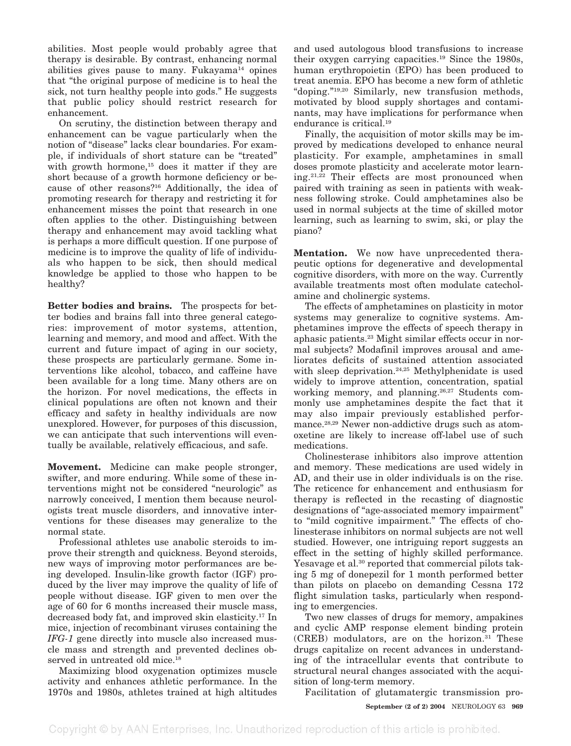abilities. Most people would probably agree that therapy is desirable. By contrast, enhancing normal abilities gives pause to many. Fukayama $14$  opines that "the original purpose of medicine is to heal the sick, not turn healthy people into gods." He suggests that public policy should restrict research for enhancement.

On scrutiny, the distinction between therapy and enhancement can be vague particularly when the notion of "disease" lacks clear boundaries. For example, if individuals of short stature can be "treated" with growth hormone, $15$  does it matter if they are short because of a growth hormone deficiency or because of other reasons?16 Additionally, the idea of promoting research for therapy and restricting it for enhancement misses the point that research in one often applies to the other. Distinguishing between therapy and enhancement may avoid tackling what is perhaps a more difficult question. If one purpose of medicine is to improve the quality of life of individuals who happen to be sick, then should medical knowledge be applied to those who happen to be healthy?

**Better bodies and brains.** The prospects for better bodies and brains fall into three general categories: improvement of motor systems, attention, learning and memory, and mood and affect. With the current and future impact of aging in our society, these prospects are particularly germane. Some interventions like alcohol, tobacco, and caffeine have been available for a long time. Many others are on the horizon. For novel medications, the effects in clinical populations are often not known and their efficacy and safety in healthy individuals are now unexplored. However, for purposes of this discussion, we can anticipate that such interventions will eventually be available, relatively efficacious, and safe.

**Movement.** Medicine can make people stronger, swifter, and more enduring. While some of these interventions might not be considered "neurologic" as narrowly conceived, I mention them because neurologists treat muscle disorders, and innovative interventions for these diseases may generalize to the normal state.

Professional athletes use anabolic steroids to improve their strength and quickness. Beyond steroids, new ways of improving motor performances are being developed. Insulin-like growth factor (IGF) produced by the liver may improve the quality of life of people without disease. IGF given to men over the age of 60 for 6 months increased their muscle mass, decreased body fat, and improved skin elasticity.17 In mice, injection of recombinant viruses containing the *IFG-1* gene directly into muscle also increased muscle mass and strength and prevented declines observed in untreated old mice.<sup>18</sup>

Maximizing blood oxygenation optimizes muscle activity and enhances athletic performance. In the 1970s and 1980s, athletes trained at high altitudes

and used autologous blood transfusions to increase their oxygen carrying capacities.19 Since the 1980s, human erythropoietin (EPO) has been produced to treat anemia. EPO has become a new form of athletic "doping."19,20 Similarly, new transfusion methods, motivated by blood supply shortages and contaminants, may have implications for performance when endurance is critical.19

Finally, the acquisition of motor skills may be improved by medications developed to enhance neural plasticity. For example, amphetamines in small doses promote plasticity and accelerate motor learning.21,22 Their effects are most pronounced when paired with training as seen in patients with weakness following stroke. Could amphetamines also be used in normal subjects at the time of skilled motor learning, such as learning to swim, ski, or play the piano?

**Mentation.** We now have unprecedented therapeutic options for degenerative and developmental cognitive disorders, with more on the way. Currently available treatments most often modulate catecholamine and cholinergic systems.

The effects of amphetamines on plasticity in motor systems may generalize to cognitive systems. Amphetamines improve the effects of speech therapy in aphasic patients.23 Might similar effects occur in normal subjects? Modafinil improves arousal and ameliorates deficits of sustained attention associated with sleep deprivation.<sup>24,25</sup> Methylphenidate is used widely to improve attention, concentration, spatial working memory, and planning.<sup>26,27</sup> Students commonly use amphetamines despite the fact that it may also impair previously established performance.28,29 Newer non-addictive drugs such as atomoxetine are likely to increase off-label use of such medications.

Cholinesterase inhibitors also improve attention and memory. These medications are used widely in AD, and their use in older individuals is on the rise. The reticence for enhancement and enthusiasm for therapy is reflected in the recasting of diagnostic designations of "age-associated memory impairment" to "mild cognitive impairment." The effects of cholinesterase inhibitors on normal subjects are not well studied. However, one intriguing report suggests an effect in the setting of highly skilled performance. Yesavage et al.<sup>30</sup> reported that commercial pilots taking 5 mg of donepezil for 1 month performed better than pilots on placebo on demanding Cessna 172 flight simulation tasks, particularly when responding to emergencies.

Two new classes of drugs for memory, ampakines and cyclic AMP response element binding protein (CREB) modulators, are on the horizon.31 These drugs capitalize on recent advances in understanding of the intracellular events that contribute to structural neural changes associated with the acquisition of long-term memory.

Facilitation of glutamatergic transmission pro-

**September (2 of 2) 2004** NEUROLOGY 63 **969**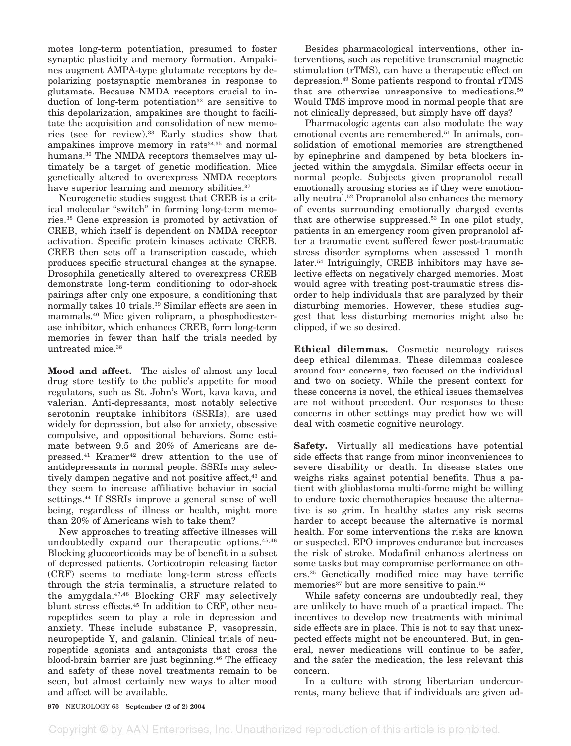motes long-term potentiation, presumed to foster synaptic plasticity and memory formation. Ampakines augment AMPA-type glutamate receptors by depolarizing postsynaptic membranes in response to glutamate. Because NMDA receptors crucial to induction of long-term potentiation<sup>32</sup> are sensitive to this depolarization, ampakines are thought to facilitate the acquisition and consolidation of new memories (see for review).33 Early studies show that ampakines improve memory in rats<sup>34,35</sup> and normal humans.36 The NMDA receptors themselves may ultimately be a target of genetic modification. Mice genetically altered to overexpress NMDA receptors have superior learning and memory abilities.<sup>37</sup>

Neurogenetic studies suggest that CREB is a critical molecular "switch" in forming long-term memories.38 Gene expression is promoted by activation of CREB, which itself is dependent on NMDA receptor activation. Specific protein kinases activate CREB. CREB then sets off a transcription cascade, which produces specific structural changes at the synapse. Drosophila genetically altered to overexpress CREB demonstrate long-term conditioning to odor-shock pairings after only one exposure, a conditioning that normally takes 10 trials.<sup>39</sup> Similar effects are seen in mammals.40 Mice given rolipram, a phosphodiesterase inhibitor, which enhances CREB, form long-term memories in fewer than half the trials needed by untreated mice.38

**Mood and affect.** The aisles of almost any local drug store testify to the public's appetite for mood regulators, such as St. John's Wort, kava kava, and valerian. Anti-depressants, most notably selective serotonin reuptake inhibitors (SSRIs), are used widely for depression, but also for anxiety, obsessive compulsive, and oppositional behaviors. Some estimate between 9.5 and 20% of Americans are depressed.<sup>41</sup> Kramer<sup>42</sup> drew attention to the use of antidepressants in normal people. SSRIs may selectively dampen negative and not positive affect,<sup>43</sup> and they seem to increase affiliative behavior in social settings.44 If SSRIs improve a general sense of well being, regardless of illness or health, might more than 20% of Americans wish to take them?

New approaches to treating affective illnesses will undoubtedly expand our therapeutic options.45,46 Blocking glucocorticoids may be of benefit in a subset of depressed patients. Corticotropin releasing factor (CRF) seems to mediate long-term stress effects through the stria terminalis, a structure related to the amygdala.47,48 Blocking CRF may selectively blunt stress effects.45 In addition to CRF, other neuropeptides seem to play a role in depression and anxiety. These include substance P, vasopressin, neuropeptide Y, and galanin. Clinical trials of neuropeptide agonists and antagonists that cross the blood-brain barrier are just beginning.46 The efficacy and safety of these novel treatments remain to be seen, but almost certainly new ways to alter mood and affect will be available.

Besides pharmacological interventions, other interventions, such as repetitive transcranial magnetic stimulation (rTMS), can have a therapeutic effect on depression.49 Some patients respond to frontal rTMS that are otherwise unresponsive to medications.<sup>50</sup> Would TMS improve mood in normal people that are not clinically depressed, but simply have off days?

Pharmacologic agents can also modulate the way emotional events are remembered.51 In animals, consolidation of emotional memories are strengthened by epinephrine and dampened by beta blockers injected within the amygdala. Similar effects occur in normal people. Subjects given propranolol recall emotionally arousing stories as if they were emotionally neutral.52 Propranolol also enhances the memory of events surrounding emotionally charged events that are otherwise suppressed.53 In one pilot study, patients in an emergency room given propranolol after a traumatic event suffered fewer post-traumatic stress disorder symptoms when assessed 1 month later.54 Intriguingly, CREB inhibitors may have selective effects on negatively charged memories. Most would agree with treating post-traumatic stress disorder to help individuals that are paralyzed by their disturbing memories. However, these studies suggest that less disturbing memories might also be clipped, if we so desired.

**Ethical dilemmas.** Cosmetic neurology raises deep ethical dilemmas. These dilemmas coalesce around four concerns, two focused on the individual and two on society. While the present context for these concerns is novel, the ethical issues themselves are not without precedent. Our responses to these concerns in other settings may predict how we will deal with cosmetic cognitive neurology.

**Safety.** Virtually all medications have potential side effects that range from minor inconveniences to severe disability or death. In disease states one weighs risks against potential benefits. Thus a patient with glioblastoma multi-forme might be willing to endure toxic chemotherapies because the alternative is so grim. In healthy states any risk seems harder to accept because the alternative is normal health. For some interventions the risks are known or suspected. EPO improves endurance but increases the risk of stroke. Modafinil enhances alertness on some tasks but may compromise performance on others.25 Genetically modified mice may have terrific memories<sup>37</sup> but are more sensitive to pain.<sup>55</sup>

While safety concerns are undoubtedly real, they are unlikely to have much of a practical impact. The incentives to develop new treatments with minimal side effects are in place. This is not to say that unexpected effects might not be encountered. But, in general, newer medications will continue to be safer, and the safer the medication, the less relevant this concern.

In a culture with strong libertarian undercurrents, many believe that if individuals are given ad-

**970** NEUROLOGY 63 **September (2 of 2) 2004**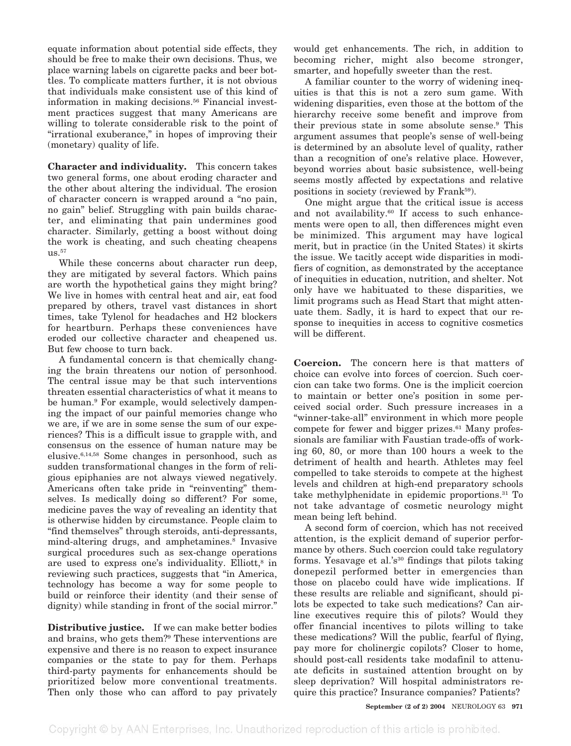equate information about potential side effects, they should be free to make their own decisions. Thus, we place warning labels on cigarette packs and beer bottles. To complicate matters further, it is not obvious that individuals make consistent use of this kind of information in making decisions.<sup>56</sup> Financial investment practices suggest that many Americans are willing to tolerate considerable risk to the point of "irrational exuberance," in hopes of improving their (monetary) quality of life.

**Character and individuality.** This concern takes two general forms, one about eroding character and the other about altering the individual. The erosion of character concern is wrapped around a "no pain, no gain" belief. Struggling with pain builds character, and eliminating that pain undermines good character. Similarly, getting a boost without doing the work is cheating, and such cheating cheapens  $us.57$ 

While these concerns about character run deep, they are mitigated by several factors. Which pains are worth the hypothetical gains they might bring? We live in homes with central heat and air, eat food prepared by others, travel vast distances in short times, take Tylenol for headaches and H2 blockers for heartburn. Perhaps these conveniences have eroded our collective character and cheapened us. But few choose to turn back.

A fundamental concern is that chemically changing the brain threatens our notion of personhood. The central issue may be that such interventions threaten essential characteristics of what it means to be human.9 For example, would selectively dampening the impact of our painful memories change who we are, if we are in some sense the sum of our experiences? This is a difficult issue to grapple with, and consensus on the essence of human nature may be elusive.6,14,58 Some changes in personhood, such as sudden transformational changes in the form of religious epiphanies are not always viewed negatively. Americans often take pride in "reinventing" themselves. Is medically doing so different? For some, medicine paves the way of revealing an identity that is otherwise hidden by circumstance. People claim to "find themselves" through steroids, anti-depressants, mind-altering drugs, and amphetamines.<sup>8</sup> Invasive surgical procedures such as sex-change operations are used to express one's individuality. Elliott, $\delta$  in reviewing such practices, suggests that "in America, technology has become a way for some people to build or reinforce their identity (and their sense of dignity) while standing in front of the social mirror."

**Distributive justice.** If we can make better bodies and brains, who gets them?9 These interventions are expensive and there is no reason to expect insurance companies or the state to pay for them. Perhaps third-party payments for enhancements should be prioritized below more conventional treatments. Then only those who can afford to pay privately

would get enhancements. The rich, in addition to becoming richer, might also become stronger, smarter, and hopefully sweeter than the rest.

A familiar counter to the worry of widening inequities is that this is not a zero sum game. With widening disparities, even those at the bottom of the hierarchy receive some benefit and improve from their previous state in some absolute sense.<sup>9</sup> This argument assumes that people's sense of well-being is determined by an absolute level of quality, rather than a recognition of one's relative place. However, beyond worries about basic subsistence, well-being seems mostly affected by expectations and relative positions in society (reviewed by Frank<sup>59</sup>).

One might argue that the critical issue is access and not availability.<sup>60</sup> If access to such enhancements were open to all, then differences might even be minimized. This argument may have logical merit, but in practice (in the United States) it skirts the issue. We tacitly accept wide disparities in modifiers of cognition, as demonstrated by the acceptance of inequities in education, nutrition, and shelter. Not only have we habituated to these disparities, we limit programs such as Head Start that might attenuate them. Sadly, it is hard to expect that our response to inequities in access to cognitive cosmetics will be different.

**Coercion.** The concern here is that matters of choice can evolve into forces of coercion. Such coercion can take two forms. One is the implicit coercion to maintain or better one's position in some perceived social order. Such pressure increases in a "winner-take-all" environment in which more people compete for fewer and bigger prizes.<sup>61</sup> Many professionals are familiar with Faustian trade-offs of working 60, 80, or more than 100 hours a week to the detriment of health and hearth. Athletes may feel compelled to take steroids to compete at the highest levels and children at high-end preparatory schools take methylphenidate in epidemic proportions.31 To not take advantage of cosmetic neurology might mean being left behind.

A second form of coercion, which has not received attention, is the explicit demand of superior performance by others. Such coercion could take regulatory forms. Yesavage et al.'s<sup>30</sup> findings that pilots taking donepezil performed better in emergencies than those on placebo could have wide implications. If these results are reliable and significant, should pilots be expected to take such medications? Can airline executives require this of pilots? Would they offer financial incentives to pilots willing to take these medications? Will the public, fearful of flying, pay more for cholinergic copilots? Closer to home, should post-call residents take modafinil to attenuate deficits in sustained attention brought on by sleep deprivation? Will hospital administrators require this practice? Insurance companies? Patients?

**September (2 of 2) 2004** NEUROLOGY 63 **971**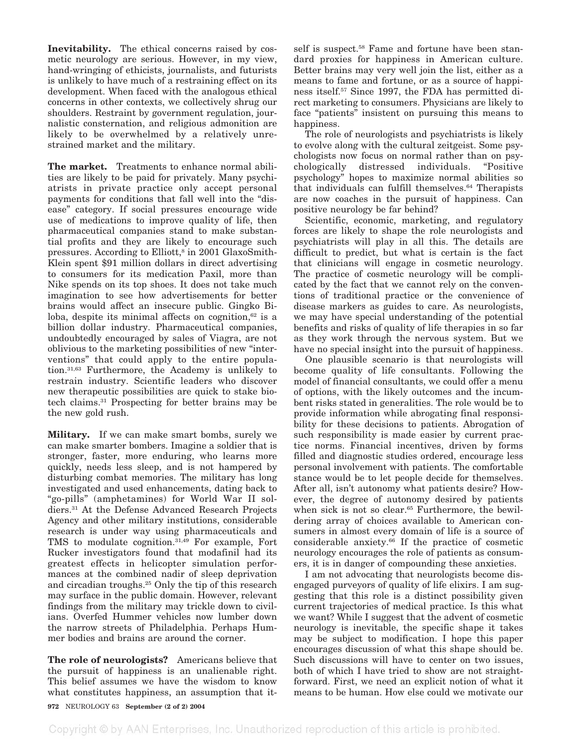**Inevitability.** The ethical concerns raised by cosmetic neurology are serious. However, in my view, hand-wringing of ethicists, journalists, and futurists is unlikely to have much of a restraining effect on its development. When faced with the analogous ethical concerns in other contexts, we collectively shrug our shoulders. Restraint by government regulation, journalistic consternation, and religious admonition are likely to be overwhelmed by a relatively unrestrained market and the military.

**The market.** Treatments to enhance normal abilities are likely to be paid for privately. Many psychiatrists in private practice only accept personal payments for conditions that fall well into the "disease" category. If social pressures encourage wide use of medications to improve quality of life, then pharmaceutical companies stand to make substantial profits and they are likely to encourage such pressures. According to Elliott,<sup>8</sup> in 2001 GlaxoSmith-Klein spent \$91 million dollars in direct advertising to consumers for its medication Paxil, more than Nike spends on its top shoes. It does not take much imagination to see how advertisements for better brains would affect an insecure public. Gingko Biloba, despite its minimal affects on cognition, $62$  is a billion dollar industry. Pharmaceutical companies, undoubtedly encouraged by sales of Viagra, are not oblivious to the marketing possibilities of new "interventions" that could apply to the entire population.31,63 Furthermore, the Academy is unlikely to restrain industry. Scientific leaders who discover new therapeutic possibilities are quick to stake biotech claims.31 Prospecting for better brains may be the new gold rush.

**Military.** If we can make smart bombs, surely we can make smarter bombers. Imagine a soldier that is stronger, faster, more enduring, who learns more quickly, needs less sleep, and is not hampered by disturbing combat memories. The military has long investigated and used enhancements, dating back to "go-pills" (amphetamines) for World War II soldiers.31 At the Defense Advanced Research Projects Agency and other military institutions, considerable research is under way using pharmaceuticals and TMS to modulate cognition.31,49 For example, Fort Rucker investigators found that modafinil had its greatest effects in helicopter simulation performances at the combined nadir of sleep deprivation and circadian troughs.25 Only the tip of this research may surface in the public domain. However, relevant findings from the military may trickle down to civilians. Overfed Hummer vehicles now lumber down the narrow streets of Philadelphia. Perhaps Hummer bodies and brains are around the corner.

**The role of neurologists?** Americans believe that the pursuit of happiness is an unalienable right. This belief assumes we have the wisdom to know what constitutes happiness, an assumption that itself is suspect.<sup>58</sup> Fame and fortune have been standard proxies for happiness in American culture. Better brains may very well join the list, either as a means to fame and fortune, or as a source of happiness itself.57 Since 1997, the FDA has permitted direct marketing to consumers. Physicians are likely to face "patients" insistent on pursuing this means to happiness.

The role of neurologists and psychiatrists is likely to evolve along with the cultural zeitgeist. Some psychologists now focus on normal rather than on psychologically distressed individuals. "Positive psychology" hopes to maximize normal abilities so that individuals can fulfill themselves.64 Therapists are now coaches in the pursuit of happiness. Can positive neurology be far behind?

Scientific, economic, marketing, and regulatory forces are likely to shape the role neurologists and psychiatrists will play in all this. The details are difficult to predict, but what is certain is the fact that clinicians will engage in cosmetic neurology. The practice of cosmetic neurology will be complicated by the fact that we cannot rely on the conventions of traditional practice or the convenience of disease markers as guides to care. As neurologists, we may have special understanding of the potential benefits and risks of quality of life therapies in so far as they work through the nervous system. But we have no special insight into the pursuit of happiness.

One plausible scenario is that neurologists will become quality of life consultants. Following the model of financial consultants, we could offer a menu of options, with the likely outcomes and the incumbent risks stated in generalities. The role would be to provide information while abrogating final responsibility for these decisions to patients. Abrogation of such responsibility is made easier by current practice norms. Financial incentives, driven by forms filled and diagnostic studies ordered, encourage less personal involvement with patients. The comfortable stance would be to let people decide for themselves. After all, isn't autonomy what patients desire? However, the degree of autonomy desired by patients when sick is not so clear.<sup>65</sup> Furthermore, the bewildering array of choices available to American consumers in almost every domain of life is a source of considerable anxiety.66 If the practice of cosmetic neurology encourages the role of patients as consumers, it is in danger of compounding these anxieties.

I am not advocating that neurologists become disengaged purveyors of quality of life elixirs. I am suggesting that this role is a distinct possibility given current trajectories of medical practice. Is this what we want? While I suggest that the advent of cosmetic neurology is inevitable, the specific shape it takes may be subject to modification. I hope this paper encourages discussion of what this shape should be. Such discussions will have to center on two issues, both of which I have tried to show are not straightforward. First, we need an explicit notion of what it means to be human. How else could we motivate our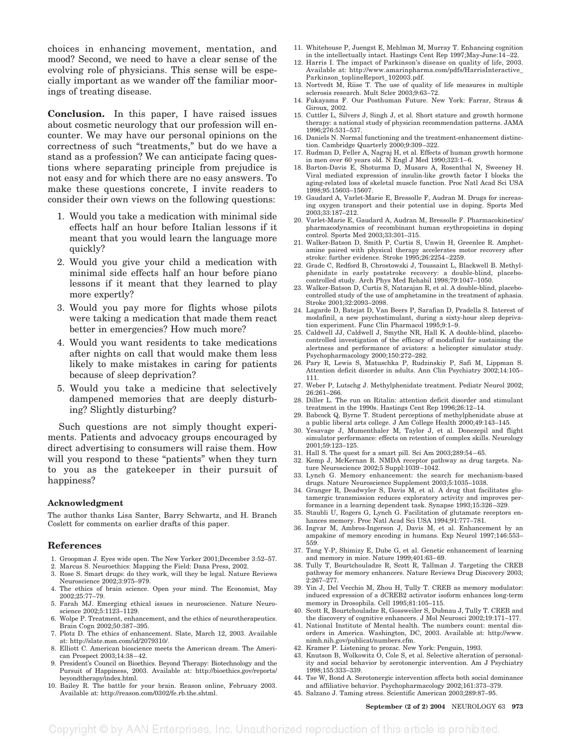choices in enhancing movement, mentation, and mood? Second, we need to have a clear sense of the evolving role of physicians. This sense will be especially important as we wander off the familiar moorings of treating disease.

**Conclusion.** In this paper, I have raised issues about cosmetic neurology that our profession will encounter. We may have our personal opinions on the correctness of such "treatments," but do we have a stand as a profession? We can anticipate facing questions where separating principle from prejudice is not easy and for which there are no easy answers. To make these questions concrete, I invite readers to consider their own views on the following questions:

- 1. Would you take a medication with minimal side effects half an hour before Italian lessons if it meant that you would learn the language more quickly?
- 2. Would you give your child a medication with minimal side effects half an hour before piano lessons if it meant that they learned to play more expertly?
- 3. Would you pay more for flights whose pilots were taking a medication that made them react better in emergencies? How much more?
- 4. Would you want residents to take medications after nights on call that would make them less likely to make mistakes in caring for patients because of sleep deprivation?
- 5. Would you take a medicine that selectively dampened memories that are deeply disturbing? Slightly disturbing?

Such questions are not simply thought experiments. Patients and advocacy groups encouraged by direct advertising to consumers will raise them. How will you respond to these "patients" when they turn to you as the gatekeeper in their pursuit of happiness?

#### **Acknowledgment**

The author thanks Lisa Santer, Barry Schwartz, and H. Branch Coslett for comments on earlier drafts of this paper.

#### **References**

- 1. Groopman J. Eyes wide open. The New Yorker 2001;December 3:52–57.
- 2. Marcus S. Neuroethics: Mapping the Field: Dana Press, 2002.
- 3. Rose S. Smart drugs: do they work, will they be legal. Nature Reviews Neuroscience 2002;3:975–979.
- 4. The ethics of brain science. Open your mind. The Economist, May 2002;25:77–79.
- 5. Farah MJ. Emerging ethical issues in neuroscience. Nature Neuroscience 2002;5:1123–1129.
- 6. Wolpe P. Treatment, enhancement, and the ethics of neurotherapeutics. Brain Cogn 2002;50:387–395.
- 7. Plotz D. The ethics of enhancement. Slate, March 12, 2003. Available at: http://slate.msn.com/id/2079310/.
- 8. Elliott C. American bioscience meets the American dream. The American Prospect 2003;14:38–42.
- 9. President's Council on Bioethics. Beyond Therapy: Biotechnology and the Pursuit of Happiness, 2003. Available at: http://bioethics.gov/reports/ beyondtherapy/index.html.
- 10. Bailey R. The battle for your brain. Reason online, February 2003. Available at: http://reason.com/0302/fe.rb.the.shtml.
- 11. Whitehouse P, Juengst E, Mehlman M, Murray T. Enhancing cognition in the intellectually intact. Hastings Cent Rep 1997;May-June:14–22.
- 12. Harris I. The impact of Parkinson's disease on quality of life, 2003. Available at: http://www.amarinpharma.com/pdfs/HarrisInteractive\_ Parkinson\_toplineReport\_102003.pdf.
- 13. Nortvedt M, Riise T. The use of quality of life measures in multiple sclerosis research. Mult Scler 2003;9:63–72.
- 14. Fukayama F. Our Posthuman Future. New York: Farrar, Straus & Giroux, 2002.
- 15. Cuttler L, Silvers J, Singh J, et al. Short stature and growth hormone therapy: a national study of physician recommendation patterns. JAMA 1996;276:531–537.
- 16. Daniels N. Normal functioning and the treatment-enhancement distinction. Cambridge Quarterly 2000;9:309–322.
- 17. Rudman D, Feller A, Nagraj H, et al. Effects of human growth hormone in men over 60 years old. N Engl J Med 1990;323:1–6.
- 18. Barton-Davis E, Shoturma D, Musaro A, Rosenthal N, Sweeney H. Viral mediated expression of insulin-like growth factor I blocks the aging-related loss of skeletal muscle function. Proc Natl Acad Sci USA 1998;95:15603–15607.
- 19. Gaudard A, Varlet-Marie E, Bressolle F, Audran M. Drugs for increasing oxygen transport and their potential use in doping. Sports Med 2003;33:187–212.
- 20. Varlet-Marie E, Gaudard A, Audran M, Bressolle F. Pharmacokinetics/ pharmacodynamics of recombinant human erythropoietins in doping control. Sports Med 2003;33:301–315.
- 21. Walker-Batson D, Smith P, Curtis S, Unwin H, Greenlee R. Amphetamine paired with physical therapy accelerates motor recovery after stroke: further evidence. Stroke 1995;26:2254–2259.
- 22. Grade C, Redford B, Chrostowski J, Toussaint L, Blackwell B. Methylphenidate in early poststroke recovery: a double-blind, placebocontrolled study. Arch Phys Med Rehabil 1998;79:1047–1050.
- 23. Walker-Batson D, Curtis S, Natarajan R, et al. A double-blind, placebocontrolled study of the use of amphetamine in the treatment of aphasia. Stroke 2001;32:2093–2098.
- 24. Lagarde D, Batejat D, Van Beers P, Sarafian D, Pradella S. Interest of modafinil, a new psychostimulant, during a sixty-hour sleep deprivation experiment. Func Clin Pharmacol 1995;9:1–9.
- 25. Caldwell JJ, Caldwell J, Smythe NR, Hall K. A double-blind, placebocontrolled investigation of the efficacy of modafinil for sustaining the alertness and performance of aviators: a helicopter simulator study. Psychopharmacology 2000;150:272–282.
- 26. Pary R, Lewis S, Matuschka P, Rudzinskiy P, Safi M, Lippman S. Attention deficit disorder in adults. Ann Clin Psychiatry 2002;14:105– 111.
- 27. Weber P, Lutschg J. Methylphenidate treatment. Pediatr Neurol 2002; 26:261–266.
- 28. Diller L. The run on Ritalin: attention deficit disorder and stimulant treatment in the 1990s. Hastings Cent Rep 1996;26:12–14.
- 29. Babcock Q, Byrne T. Student perceptions of methylphenidate abuse at a public liberal arts college. J Am College Health 2000;49:143–145.
- 30. Yesavage J, Mumenthaler M, Taylor J, et al. Donezepil and flight simulator performance: effects on retention of complex skills. Neurology 2001;59:123–125.
- 31. Hall S. The quest for a smart pill. Sci Am 2003;289:54–65.
- 32. Kemp J, McKernan R. NMDA receptor pathway as drug targets. Nature Neuroscience 2002;5 Suppl:1039–1042.
- 33. Lynch G. Memory enhancement: the search for mechanism-based drugs. Nature Neuroscience Supplement 2003;5:1035–1038.
- 34. Granger R, Deadwyler S, Davis M, et al. A drug that facilitates glutamergic transmission reduces exploratory activity and improves performance in a learning dependent task. Synapse 1993;15:326–329.
- 35. Staubli U, Rogers G, Lynch G. Facilitation of glutamate receptors enhances memory. Proc Natl Acad Sci USA 1994;91:777–781.
- 36. Ingvar M, Ambros-Ingerson J, Davis M, et al. Enhancement by an ampakine of memory encoding in humans. Exp Neurol 1997;146:553– 559.
- 37. Tang Y-P, Shimizy E, Dube G, et al. Genetic enhancement of learning and memory in mice. Nature 1999;401:63–69.
- 38. Tully T, Bourtchouladze R, Scott R, Tallman J. Targeting the CREB pathway for memory enhancers. Nature Reviews Drug Discovery 2003; 2:267–277.
- 39. Yin J, Del Vecchio M, Zhou H, Tully T. CREB as memory modulator: induced expression of a dCREB2 activator isoform enhances long-term memory in Drosophila. Cell 1995;81:105–115.
- 40. Scott R, Bourtchouladze R, Gossweiler S, Dubnau J, Tully T. CREB and the discovery of cognitive enhancers. J Mol Neurosci 2002;19:171–177.
- 41. National Institute of Mental health. The numbers count: mental disorders in America. Washington, DC, 2003. Available at: http://www. nimh.nih.gov/publicat/numbers.cfm.
- 42. Kramer P. Listening to prozac. New York: Penguin, 1993.
- 43. Knutson B, Wolkowitz O, Cole S, et al. Selective alteration of personality and social behavior by serotonergic intervention. Am J Psychiatry 1998;155:333–339.
- 44. Tse W, Bond A. Serotonergic intervention affects both social dominance and affiliative behavior. Psychopharmacology 2002;161:373–379.
- 45. Salzano J. Taming stress. Scientific American 2003;289:87–95.

## **September (2 of 2) 2004** NEUROLOGY 63 **973**